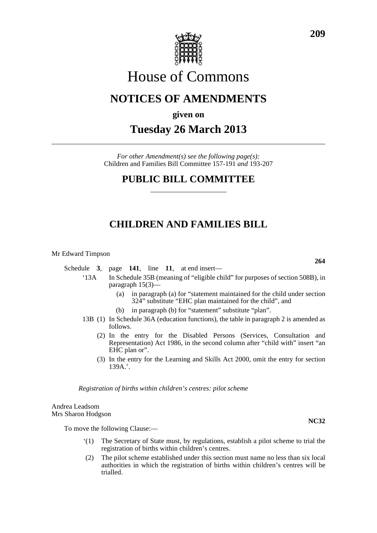

# House of Commons

## **NOTICES OF AMENDMENTS**

### **given on**

### **Tuesday 26 March 2013**

*For other Amendment(s) see the following page(s):* Children and Families Bill Committee 157-191 *and* 193-207

### **PUBLIC BILL COMMITTEE**

### **CHILDREN AND FAMILIES BILL**

Mr Edward Timpson

Schedule **3**, page **141**, line **11**, at end insert—

- '13A In Schedule 35B (meaning of "eligible child" for purposes of section 508B), in paragraph 15(3)—
	- (a) in paragraph (a) for "statement maintained for the child under section 324" substitute "EHC plan maintained for the child", and
	- (b) in paragraph (b) for "statement" substitute "plan".
- 13B (1) In Schedule 36A (education functions), the table in paragraph 2 is amended as follows.
	- (2) In the entry for the Disabled Persons (Services, Consultation and Representation) Act 1986, in the second column after "child with" insert "an EHC plan or".
	- (3) In the entry for the Learning and Skills Act 2000, omit the entry for section 139A.'.

*Registration of births within children's centres: pilot scheme*

Andrea Leadsom Mrs Sharon Hodgson

To move the following Clause:—

- '(1) The Secretary of State must, by regulations, establish a pilot scheme to trial the registration of births within children's centres.
- (2) The pilot scheme established under this section must name no less than six local authorities in which the registration of births within children's centres will be trialled.

**264**

**NC32**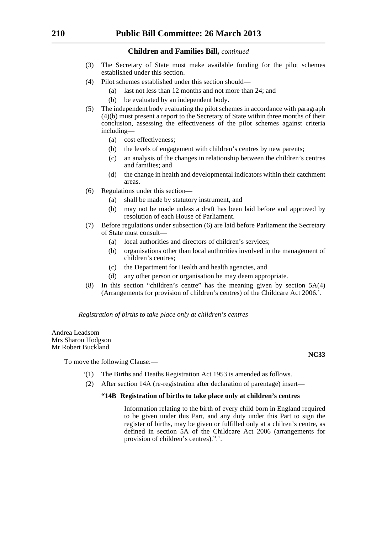#### **Children and Families Bill,** *continued*

- (3) The Secretary of State must make available funding for the pilot schemes established under this section.
- (4) Pilot schemes established under this section should—
	- (a) last not less than 12 months and not more than 24; and
	- (b) be evaluated by an independent body.
- (5) The independent body evaluating the pilot schemes in accordance with paragraph (4)(b) must present a report to the Secretary of State within three months of their conclusion, assessing the effectiveness of the pilot schemes against criteria including—
	- (a) cost effectiveness;
	- (b) the levels of engagement with children's centres by new parents;
	- (c) an analysis of the changes in relationship between the children's centres and families; and
	- (d) the change in health and developmental indicators within their catchment areas.
- (6) Regulations under this section—
	- (a) shall be made by statutory instrument, and
	- (b) may not be made unless a draft has been laid before and approved by resolution of each House of Parliament.
- (7) Before regulations under subsection (6) are laid before Parliament the Secretary of State must consult—
	- (a) local authorities and directors of children's services;
	- (b) organisations other than local authorities involved in the management of children's centres;
	- (c) the Department for Health and health agencies, and
	- (d) any other person or organisation he may deem appropriate.
- (8) In this section "children's centre" has the meaning given by section 5A(4) (Arrangements for provision of children's centres) of the Childcare Act 2006.'.

*Registration of births to take place only at children's centres*

Andrea Leadsom Mrs Sharon Hodgson Mr Robert Buckland

To move the following Clause:—

- '(1) The Births and Deaths Registration Act 1953 is amended as follows.
- (2) After section 14A (re-registration after declaration of parentage) insert—

#### **"14B Registration of births to take place only at children's centres**

Information relating to the birth of every child born in England required to be given under this Part, and any duty under this Part to sign the register of births, may be given or fulfilled only at a chilren's centre, as defined in section 5A of the Childcare Act 2006 (arrangements for provision of children's centres).".'.

**NC33**